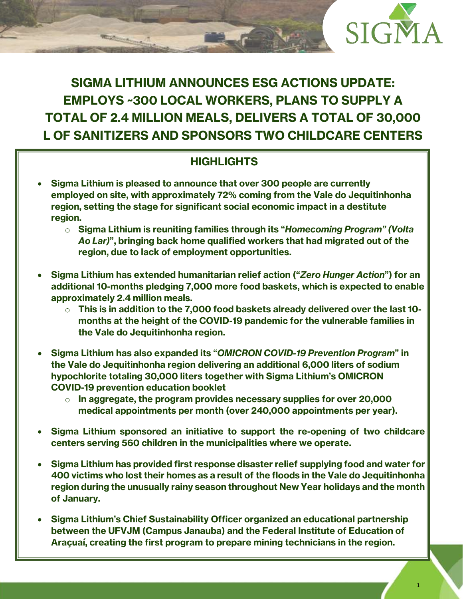

**SIGMA LITHIUM ANNOUNCES ESG ACTIONS UPDATE: EMPLOYS ~300 LOCAL WORKERS, PLANS TO SUPPLY A TOTAL OF 2.4 MILLION MEALS, DELIVERS A TOTAL OF 30,000 L OF SANITIZERS AND SPONSORS TWO CHILDCARE CENTERS**

# **HIGHLIGHTS**

- **Sigma Lithium is pleased to announce that over 300 people are currently employed on site, with approximately 72% coming from the Vale do Jequitinhonha region, setting the stage for significant social economic impact in a destitute region.**
	- o **Sigma Lithium is reuniting families through its "***Homecoming Program" (Volta Ao Lar)***", bringing back home qualified workers that had migrated out of the region, due to lack of employment opportunities.**
- **Sigma Lithium has extended humanitarian relief action ("***Zero Hunger Action***") for an additional 10-months pledging 7,000 more food baskets, which is expected to enable approximately 2.4 million meals.**
	- o **This is in addition to the 7,000 food baskets already delivered over the last 10 months at the height of the COVID-19 pandemic for the vulnerable families in the Vale do Jequitinhonha region.**
- **Sigma Lithium has also expanded its "***OMICRON COVID-19 Prevention Program***" in the Vale do Jequitinhonha region delivering an additional 6,000 liters of sodium hypochlorite totaling 30,000 liters together with Sigma Lithium's OMICRON COVID-19 prevention education booklet**
	- o **In aggregate, the program provides necessary supplies for over 20,000 medical appointments per month (over 240,000 appointments per year).**
- **Sigma Lithium sponsored an initiative to support the re-opening of two childcare centers serving 560 children in the municipalities where we operate.**
- **Sigma Lithium has provided first response disaster relief supplying food and water for 400 victims who lost their homes as a result of the floods in the Vale do Jequitinhonha region during the unusually rainy season throughout New Year holidays and the month of January.**
- **Sigma Lithium's Chief Sustainability Officer organized an educational partnership between the UFVJM (Campus Janauba) and the Federal Institute of Education of Araçuaí, creating the first program to prepare mining technicians in the region.**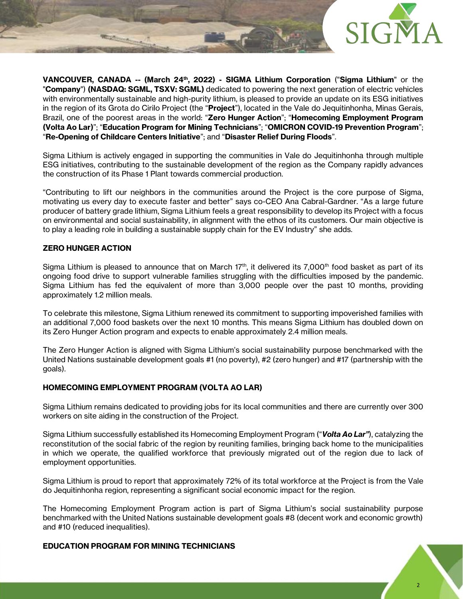

**VANCOUVER, CANADA -- (March 24<sup>th</sup>, 2022) - SIGMA Lithium Corporation ("Sigma Lithium" or the** "**Company**") **(NASDAQ: SGML, TSXV: SGML)** dedicated to powering the next generation of electric vehicles with environmentally sustainable and high-purity lithium, is pleased to provide an update on its ESG initiatives in the region of its Grota do Cirilo Project (the "**Project**"), located in the Vale do Jequitinhonha, Minas Gerais, Brazil, one of the poorest areas in the world: "**Zero Hunger Action**"; "**Homecoming Employment Program (Volta Ao Lar)**"; "**Education Program for Mining Technicians**"; "**OMICRON COVID-19 Prevention Program**"; "**Re-Opening of Childcare Centers Initiative**"; and "**Disaster Relief During Floods**".

Sigma Lithium is actively engaged in supporting the communities in Vale do Jequitinhonha through multiple ESG initiatives, contributing to the sustainable development of the region as the Company rapidly advances the construction of its Phase 1 Plant towards commercial production.

"Contributing to lift our neighbors in the communities around the Project is the core purpose of Sigma, motivating us every day to execute faster and better" says co-CEO Ana Cabral-Gardner. "As a large future producer of battery grade lithium, Sigma Lithium feels a great responsibility to develop its Project with a focus on environmental and social sustainability, in alignment with the ethos of its customers. Our main objective is to play a leading role in building a sustainable supply chain for the EV Industry" she adds.

#### **ZERO HUNGER ACTION**

Sigma Lithium is pleased to announce that on March 17<sup>th</sup>, it delivered its 7,000<sup>th</sup> food basket as part of its ongoing food drive to support vulnerable families struggling with the difficulties imposed by the pandemic. Sigma Lithium has fed the equivalent of more than 3,000 people over the past 10 months, providing approximately 1.2 million meals.

To celebrate this milestone, Sigma Lithium renewed its commitment to supporting impoverished families with an additional 7,000 food baskets over the next 10 months. This means Sigma Lithium has doubled down on its Zero Hunger Action program and expects to enable approximately 2.4 million meals.

The Zero Hunger Action is aligned with Sigma Lithium's social sustainability purpose benchmarked with the United Nations sustainable development goals #1 (no poverty), #2 (zero hunger) and #17 (partnership with the goals).

#### **HOMECOMING EMPLOYMENT PROGRAM (VOLTA AO LAR)**

Sigma Lithium remains dedicated to providing jobs for its local communities and there are currently over 300 workers on site aiding in the construction of the Project.

Sigma Lithium successfully established its Homecoming Employment Program ("*Volta Ao Lar"*), catalyzing the reconstitution of the social fabric of the region by reuniting families, bringing back home to the municipalities in which we operate, the qualified workforce that previously migrated out of the region due to lack of employment opportunities.

Sigma Lithium is proud to report that approximately 72% of its total workforce at the Project is from the Vale do Jequitinhonha region, representing a significant social economic impact for the region.

The Homecoming Employment Program action is part of Sigma Lithium's social sustainability purpose benchmarked with the United Nations sustainable development goals #8 (decent work and economic growth) and #10 (reduced inequalities).

#### **EDUCATION PROGRAM FOR MINING TECHNICIANS**

2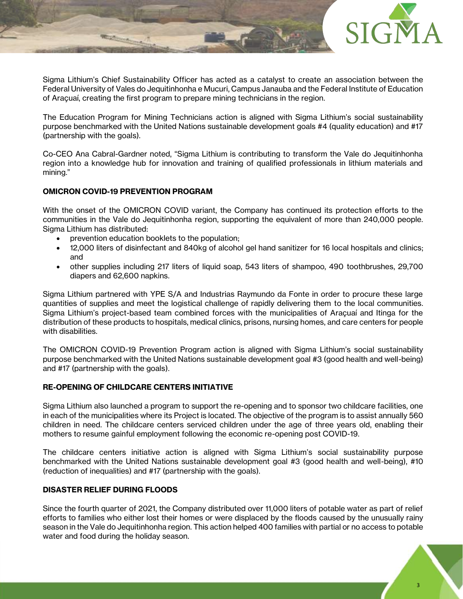

Sigma Lithium's Chief Sustainability Officer has acted as a catalyst to create an association between the Federal University of Vales do Jequitinhonha e Mucuri, Campus Janauba and the Federal Institute of Education of Araçuaí, creating the first program to prepare mining technicians in the region.

The Education Program for Mining Technicians action is aligned with Sigma Lithium's social sustainability purpose benchmarked with the United Nations sustainable development goals #4 (quality education) and #17 (partnership with the goals).

Co-CEO Ana Cabral-Gardner noted, "Sigma Lithium is contributing to transform the Vale do Jequitinhonha region into a knowledge hub for innovation and training of qualified professionals in lithium materials and mining."

#### **OMICRON COVID-19 PREVENTION PROGRAM**

With the onset of the OMICRON COVID variant, the Company has continued its protection efforts to the communities in the Vale do Jequitinhonha region, supporting the equivalent of more than 240,000 people. Sigma Lithium has distributed:

- prevention education booklets to the population;
- 12,000 liters of disinfectant and 840kg of alcohol gel hand sanitizer for 16 local hospitals and clinics; and
- other supplies including 217 liters of liquid soap, 543 liters of shampoo, 490 toothbrushes, 29,700 diapers and 62,600 napkins.

Sigma Lithium partnered with YPE S/A and Industrias Raymundo da Fonte in order to procure these large quantities of supplies and meet the logistical challenge of rapidly delivering them to the local communities. Sigma Lithium's project-based team combined forces with the municipalities of Araçuaí and Itinga for the distribution of these products to hospitals, medical clinics, prisons, nursing homes, and care centers for people with disabilities.

The OMICRON COVID-19 Prevention Program action is aligned with Sigma Lithium's social sustainability purpose benchmarked with the United Nations sustainable development goal #3 (good health and well-being) and #17 (partnership with the goals).

#### **RE-OPENING OF CHILDCARE CENTERS INITIATIVE**

Sigma Lithium also launched a program to support the re-opening and to sponsor two childcare facilities, one in each of the municipalities where its Project is located. The objective of the program is to assist annually 560 children in need. The childcare centers serviced children under the age of three years old, enabling their mothers to resume gainful employment following the economic re-opening post COVID-19.

The childcare centers initiative action is aligned with Sigma Lithium's social sustainability purpose benchmarked with the United Nations sustainable development goal #3 (good health and well-being), #10 (reduction of inequalities) and #17 (partnership with the goals).

#### **DISASTER RELIEF DURING FLOODS**

Since the fourth quarter of 2021, the Company distributed over 11,000 liters of potable water as part of relief efforts to families who either lost their homes or were displaced by the floods caused by the unusually rainy season in the Vale do Jequitinhonha region. This action helped 400 families with partial or no access to potable water and food during the holiday season.

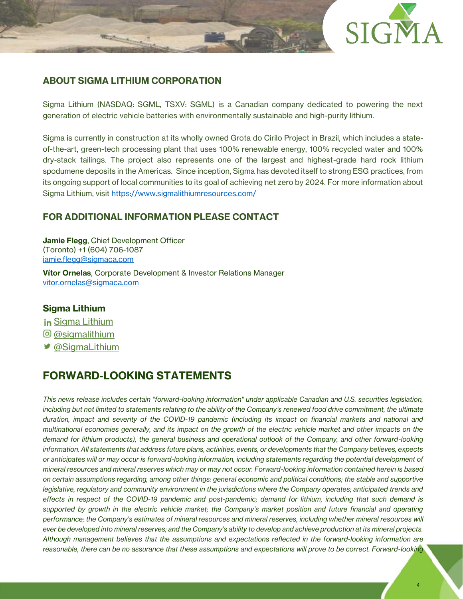

## **ABOUT SIGMA LITHIUM CORPORATION**

Sigma Lithium (NASDAQ: SGML, TSXV: SGML) is a Canadian company dedicated to powering the next generation of electric vehicle batteries with environmentally sustainable and high-purity lithium.

Sigma is currently in construction at its wholly owned Grota do Cirilo Project in Brazil, which includes a stateof-the-art, green-tech processing plant that uses 100% renewable energy, 100% recycled water and 100% dry-stack tailings. The project also represents one of the largest and highest-grade hard rock lithium spodumene deposits in the Americas. Since inception, Sigma has devoted itself to strong ESG practices, from its ongoing support of local communities to its goal of achieving net zero by 2024. For more information about Sigma Lithium, visit<https://www.sigmalithiumresources.com/>

## **FOR ADDITIONAL INFORMATION PLEASE CONTACT**

**Jamie Flegg**, Chief Development Officer (Toronto) +1 (604) 706-1087 [jamie.flegg@sigmaca.com](mailto:jamie.flegg@sigmaca.com)

**Vítor Ornelas**, Corporate Development & Investor Relations Manager [vitor.ornelas@sigmaca.com](mailto:vitor.ornelas@sigmaca.com)

### **Sigma Lithium**

- in [Sigma Lithium](https://www.linkedin.com/company/sigma-lithium-resources)
- [@sigmalithium](https://www.instagram.com/sigmalithium/)
- [@SigmaLithium](https://twitter.com/SigmaLithium)

## **FORWARD-LOOKING STATEMENTS**

*This news release includes certain "forward-looking information" under applicable Canadian and U.S. securities legislation, including but not limited to statements relating to the ability of the Company's renewed food drive commitment, the ultimate duration, impact and severity of the COVID-19 pandemic (including its impact on financial markets and national and multinational economies generally, and its impact on the growth of the electric vehicle market and other impacts on the demand for lithium products), the general business and operational outlook of the Company, and other forward-looking information. All statements that address future plans, activities, events, or developments that the Company believes, expects or anticipates will or may occur is forward-looking information, including statements regarding the potential development of mineral resources and mineral reserves which may or may not occur. Forward-looking information contained herein is based on certain assumptions regarding, among other things: general economic and political conditions; the stable and supportive legislative, regulatory and community environment in the jurisdictions where the Company operates; anticipated trends and effects in respect of the COVID-19 pandemic and post-pandemic; demand for lithium, including that such demand is*  supported by growth in the electric vehicle market; the Company's market position and future financial and operating *performance; the Company's estimates of mineral resources and mineral reserves, including whether mineral resources will ever be developed into mineral reserves; and the Company's ability to develop and achieve production at its mineral projects. Although management believes that the assumptions and expectations reflected in the forward-looking information are reasonable, there can be no assurance that these assumptions and expectations will prove to be correct. Forward-looking*